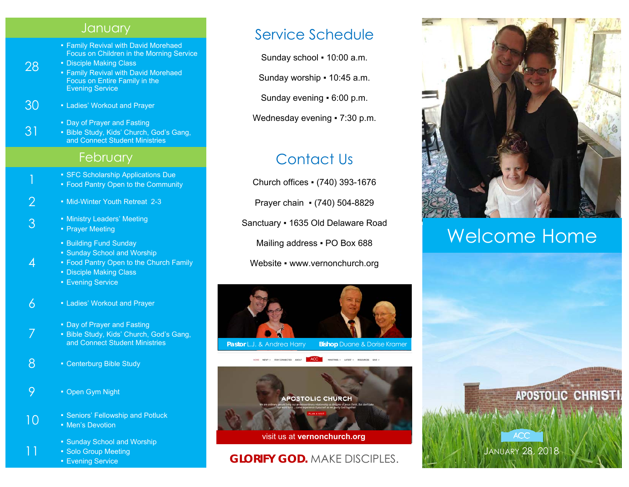#### **January**

- Family Revival with David Morehaed Focus on Children in the Morning Service
- **Disciple Making Class** ■ Family Revival with David Morehaed Focus on Entire Family in the Evening Service
- $30 1$  Ladies' Workout and Prayer

28

31

4

7

11

- Day of Prayer and Fasting
- Bible Study, Kids' Church, God's Gang, and Connect Student Ministries

## **February**

- SFC Scholarship Applications Due
- **Food Pantry Open to the Community**
- 2 Mid-Winter Youth Retreat 2-3
- 3  **Ministry Leaders' Meeting Prayer Meeting** 
	- Building Fund Sunday
	- Sunday School and Worship
	- Food Pantry Open to the Church Family
	- Disciple Making Class
	- **Evening Service**
- $6 1$  Ladies' Workout and Prayer
	- Day of Prayer and Fasting
	- **Bible Study, Kids' Church, God's Gang,** and Connect Student Ministries
- 8 Centerburg Bible Study
- 9 Open Gym Night
- 10 **F** Seniors' Fellowship and Potluck
	- **Men's Devotion**
	- Sunday School and Worship
	- **Solo Group Meeting**
	- Evening Service

# Service Schedule

Sunday school ▪ 10:00 a.m.

Sunday worship ▪ 10:45 a.m.

Sunday evening ▪ 6:00 p.m.

Wednesday evening • 7:30 p.m.

# Contact Us

Church offices ▪ (740) 393-1676

Prayer chain ▪ (740) 504-8829

Sanctuary ▪ 1635 Old Delaware Road

Mailing address . PO Box 688

Website • www.vernonchurch.org





## **GLORIFY GOD.** MAKE DISCIPLES.



# Welcome Home

JANUARY 28, 2018

**ACC**